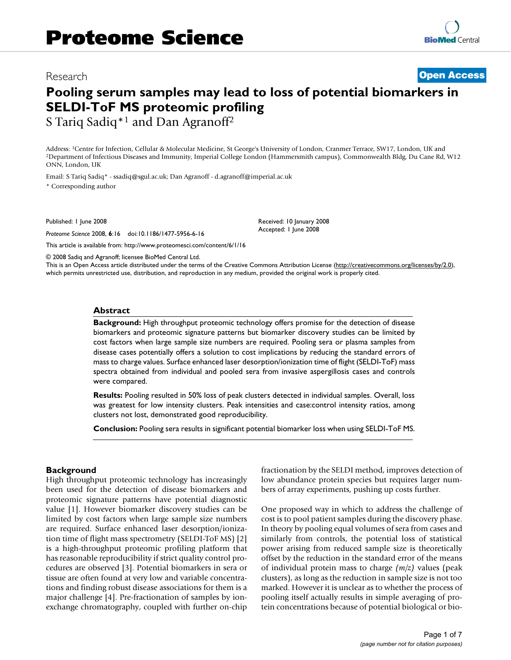## Research **[Open Access](http://www.biomedcentral.com/info/about/charter/)**

# **Pooling serum samples may lead to loss of potential biomarkers in SELDI-ToF MS proteomic profiling**

S Tariq Sadiq\*1 and Dan Agranoff2

Address: <sup>1</sup>Centre for Infection, Cellular & Molecular Medicine, St George's University of London, Cranmer Terrace, SW17, London, UK and<br><sup>2</sup>Department of Infectious Diseases and Immunity, Imperial College London (Hammersmi ONN, London, UK

> Received: 10 January 2008 Accepted: 1 June 2008

Email: S Tariq Sadiq\* - ssadiq@sgul.ac.uk; Dan Agranoff - d.agranoff@imperial.ac.uk \* Corresponding author

Published: 1 June 2008

*Proteome Science* 2008, **6**:16 doi:10.1186/1477-5956-6-16

[This article is available from: http://www.proteomesci.com/content/6/1/16](http://www.proteomesci.com/content/6/1/16)

© 2008 Sadiq and Agranoff; licensee BioMed Central Ltd.

This is an Open Access article distributed under the terms of the Creative Commons Attribution License [\(http://creativecommons.org/licenses/by/2.0\)](http://creativecommons.org/licenses/by/2.0), which permits unrestricted use, distribution, and reproduction in any medium, provided the original work is properly cited.

#### **Abstract**

**Background:** High throughput proteomic technology offers promise for the detection of disease biomarkers and proteomic signature patterns but biomarker discovery studies can be limited by cost factors when large sample size numbers are required. Pooling sera or plasma samples from disease cases potentially offers a solution to cost implications by reducing the standard errors of mass to charge values. Surface enhanced laser desorption/ionization time of flight (SELDI-ToF) mass spectra obtained from individual and pooled sera from invasive aspergillosis cases and controls were compared.

**Results:** Pooling resulted in 50% loss of peak clusters detected in individual samples. Overall, loss was greatest for low intensity clusters. Peak intensities and case:control intensity ratios, among clusters not lost, demonstrated good reproducibility.

**Conclusion:** Pooling sera results in significant potential biomarker loss when using SELDI-ToF MS.

#### **Background**

High throughput proteomic technology has increasingly been used for the detection of disease biomarkers and proteomic signature patterns have potential diagnostic value [1]. However biomarker discovery studies can be limited by cost factors when large sample size numbers are required. Surface enhanced laser desorption/ionization time of flight mass spectrometry (SELDI-ToF MS) [2] is a high-throughput proteomic profiling platform that has reasonable reproducibility if strict quality control procedures are observed [3]. Potential biomarkers in sera or tissue are often found at very low and variable concentrations and finding robust disease associations for them is a major challenge [4]. Pre-fractionation of samples by ionexchange chromatography, coupled with further on-chip fractionation by the SELDI method, improves detection of low abundance protein species but requires larger numbers of array experiments, pushing up costs further.

One proposed way in which to address the challenge of cost is to pool patient samples during the discovery phase. In theory by pooling equal volumes of sera from cases and similarly from controls, the potential loss of statistical power arising from reduced sample size is theoretically offset by the reduction in the standard error of the means of individual protein mass to charge *(m/z)* values (peak clusters), as long as the reduction in sample size is not too marked. However it is unclear as to whether the process of pooling itself actually results in simple averaging of protein concentrations because of potential biological or bio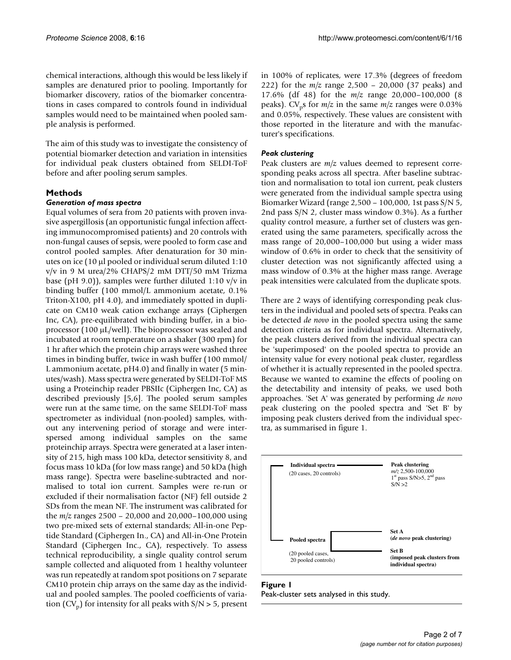chemical interactions, although this would be less likely if samples are denatured prior to pooling. Importantly for biomarker discovery, ratios of the biomarker concentrations in cases compared to controls found in individual samples would need to be maintained when pooled sample analysis is performed.

The aim of this study was to investigate the consistency of potential biomarker detection and variation in intensities for individual peak clusters obtained from SELDI-ToF before and after pooling serum samples.

#### **Methods**

#### *Generation of mass spectra*

Equal volumes of sera from 20 patients with proven invasive aspergillosis (an opportunistic fungal infection affecting immunocompromised patients) and 20 controls with non-fungal causes of sepsis, were pooled to form case and control pooled samples. After denaturation for 30 minutes on ice (10 μl pooled or individual serum diluted 1:10 v/v in 9 M urea/2% CHAPS/2 mM DTT/50 mM Trizma base (pH 9.0)), samples were further diluted 1:10 v/v in binding buffer (100 mmol/L ammonium acetate, 0.1% Triton-X100, pH 4.0), and immediately spotted in duplicate on CM10 weak cation exchange arrays (Ciphergen Inc, CA), pre-equilibrated with binding buffer, in a bioprocessor (100 μL/well). The bioprocessor was sealed and incubated at room temperature on a shaker (300 rpm) for 1 hr after which the protein chip arrays were washed three times in binding buffer, twice in wash buffer (100 mmol/ L ammonium acetate, pH4.0) and finally in water (5 minutes/wash). Mass spectra were generated by SELDI-ToF MS using a Proteinchip reader PBSIIc (Ciphergen Inc, CA) as described previously [5,6]. The pooled serum samples were run at the same time, on the same SELDI-ToF mass spectrometer as individual (non-pooled) samples, without any intervening period of storage and were interspersed among individual samples on the same proteinchip arrays. Spectra were generated at a laser intensity of 215, high mass 100 kDa, detector sensitivity 8, and focus mass 10 kDa (for low mass range) and 50 kDa (high mass range). Spectra were baseline-subtracted and normalised to total ion current. Samples were re-run or excluded if their normalisation factor (NF) fell outside 2 SDs from the mean NF. The instrument was calibrated for the *m/z* ranges 2500 – 20,000 and 20,000–100,000 using two pre-mixed sets of external standards; All-in-one Peptide Standard (Ciphergen In., CA) and All-in-One Protein Standard (Ciphergen Inc., CA), respectively. To assess technical reproducibility, a single quality control serum sample collected and aliquoted from 1 healthy volunteer was run repeatedly at random spot positions on 7 separate CM10 protein chip arrays on the same day as the individual and pooled samples. The pooled coefficients of variation  $(CV_p)$  for intensity for all peaks with  $S/N > 5$ , present

in 100% of replicates, were 17.3% (degrees of freedom 222) for the *m/z* range 2,500 – 20,000 (37 peaks) and 17.6% (df 48) for the *m/z* range 20,000–100,000 (8 peaks). CV<sub>p</sub>s for  $m/z$  in the same  $m/z$  ranges were 0.03% and 0.05%, respectively. These values are consistent with those reported in the literature and with the manufacturer's specifications.

#### *Peak clustering*

Peak clusters are *m/z* values deemed to represent corresponding peaks across all spectra. After baseline subtraction and normalisation to total ion current, peak clusters were generated from the individual sample spectra using Biomarker Wizard (range 2,500 – 100,000, 1st pass S/N 5, 2nd pass S/N 2, cluster mass window 0.3%). As a further quality control measure, a further set of clusters was generated using the same parameters, specifically across the mass range of 20,000–100,000 but using a wider mass window of 0.6% in order to check that the sensitivity of cluster detection was not significantly affected using a mass window of 0.3% at the higher mass range. Average peak intensities were calculated from the duplicate spots.

There are 2 ways of identifying corresponding peak clusters in the individual and pooled sets of spectra. Peaks can be detected *de novo* in the pooled spectra using the same detection criteria as for individual spectra. Alternatively, the peak clusters derived from the individual spectra can be 'superimposed' on the pooled spectra to provide an intensity value for every notional peak cluster, regardless of whether it is actually represented in the pooled spectra. Because we wanted to examine the effects of pooling on the detectability and intensity of peaks, we used both approaches. 'Set A' was generated by performing *de novo* peak clustering on the pooled spectra and 'Set B' by imposing peak clusters derived from the individual spectra, as summarised in figure 1.



#### Figure 1 Peak-cluster sets analysed in this study.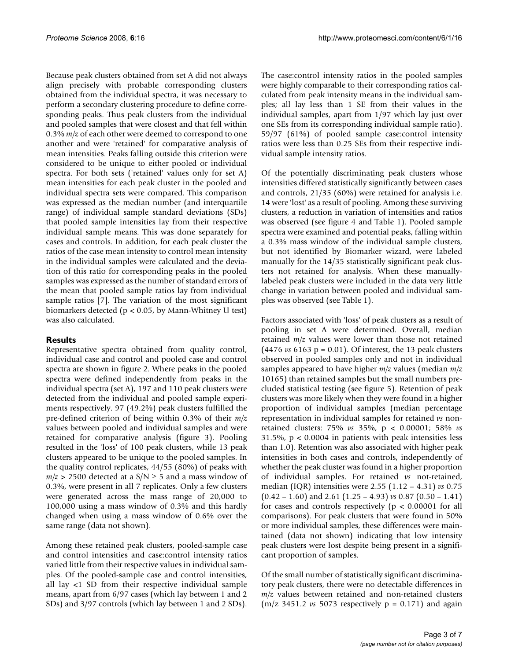Because peak clusters obtained from set A did not always align precisely with probable corresponding clusters obtained from the individual spectra, it was necessary to perform a secondary clustering procedure to define corresponding peaks. Thus peak clusters from the individual and pooled samples that were closest and that fell within 0.3% *m/z* of each other were deemed to correspond to one another and were 'retained' for comparative analysis of mean intensities. Peaks falling outside this criterion were considered to be unique to either pooled or individual spectra. For both sets ('retained' values only for set A) mean intensities for each peak cluster in the pooled and individual spectra sets were compared. This comparison was expressed as the median number (and interquartile range) of individual sample standard deviations (SDs) that pooled sample intensities lay from their respective individual sample means. This was done separately for cases and controls. In addition, for each peak cluster the ratios of the case mean intensity to control mean intensity in the individual samples were calculated and the deviation of this ratio for corresponding peaks in the pooled samples was expressed as the number of standard errors of the mean that pooled sample ratios lay from individual sample ratios [7]. The variation of the most significant biomarkers detected (p < 0.05, by Mann-Whitney U test) was also calculated.

### **Results**

Representative spectra obtained from quality control, individual case and control and pooled case and control spectra are shown in figure 2. Where peaks in the pooled spectra were defined independently from peaks in the individual spectra (set A), 197 and 110 peak clusters were detected from the individual and pooled sample experiments respectively. 97 (49.2%) peak clusters fulfilled the pre-defined criterion of being within 0.3% of their *m/z* values between pooled and individual samples and were retained for comparative analysis (figure 3). Pooling resulted in the 'loss' of 100 peak clusters, while 13 peak clusters appeared to be unique to the pooled samples. In the quality control replicates, 44/55 (80%) of peaks with  $m/z$  > 2500 detected at a S/N  $\geq$  5 and a mass window of 0.3%, were present in all 7 replicates. Only a few clusters were generated across the mass range of 20,000 to 100,000 using a mass window of 0.3% and this hardly changed when using a mass window of 0.6% over the same range (data not shown).

Among these retained peak clusters, pooled-sample case and control intensities and case:control intensity ratios varied little from their respective values in individual samples. Of the pooled-sample case and control intensities, all lay <1 SD from their respective individual sample means, apart from 6/97 cases (which lay between 1 and 2 SDs) and 3/97 controls (which lay between 1 and 2 SDs).

The case:control intensity ratios in the pooled samples were highly comparable to their corresponding ratios calculated from peak intensity means in the individual samples; all lay less than 1 SE from their values in the individual samples, apart from 1/97 which lay just over one SEs from its corresponding individual sample ratio). 59/97 (61%) of pooled sample case:control intensity ratios were less than 0.25 SEs from their respective individual sample intensity ratios.

Of the potentially discriminating peak clusters whose intensities differed statistically significantly between cases and controls, 21/35 (60%) were retained for analysis i.e. 14 were 'lost' as a result of pooling. Among these surviving clusters, a reduction in variation of intensities and ratios was observed (see figure 4 and Table 1). Pooled sample spectra were examined and potential peaks, falling within a 0.3% mass window of the individual sample clusters, but not identified by Biomarker wizard, were labeled manually for the 14/35 statistically significant peak clusters not retained for analysis. When these manuallylabeled peak clusters were included in the data very little change in variation between pooled and individual samples was observed (see Table 1).

Factors associated with 'loss' of peak clusters as a result of pooling in set A were determined. Overall, median retained *m/z* values were lower than those not retained (4476 *vs* 6163 p = 0.01). Of interest, the 13 peak clusters observed in pooled samples only and not in individual samples appeared to have higher *m/z* values (median *m/z* 10165) than retained samples but the small numbers precluded statistical testing (see figure 5). Retention of peak clusters was more likely when they were found in a higher proportion of individual samples (median percentage representation in individual samples for retained *vs* nonretained clusters: 75% *vs* 35%, p < 0.00001; 58% *vs* 31.5%, p < 0.0004 in patients with peak intensities less than 1.0). Retention was also associated with higher peak intensities in both cases and controls, independently of whether the peak cluster was found in a higher proportion of individual samples. For retained *vs* not-retained, median (IQR) intensities were 2.55 (1.12 – 4.31) *vs* 0.75 (0.42 – 1.60) and 2.61 (1.25 – 4.93) *vs* 0.87 (0.50 – 1.41) for cases and controls respectively ( $p < 0.00001$  for all comparisons). For peak clusters that were found in 50% or more individual samples, these differences were maintained (data not shown) indicating that low intensity peak clusters were lost despite being present in a significant proportion of samples.

Of the small number of statistically significant discriminatory peak clusters, there were no detectable differences in *m/z* values between retained and non-retained clusters (m/z 3451.2 *vs* 5073 respectively p = 0.171) and again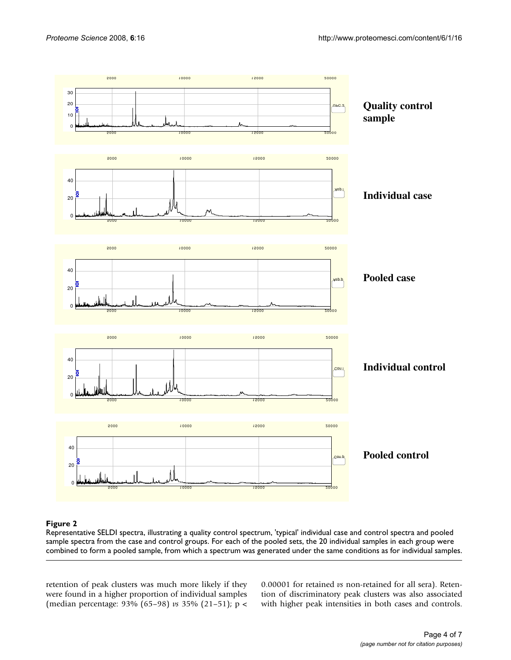

#### sample spectra from the **Figure 2** Representative SELDI spectra, illustrating case and control groups a quality control spectrum, 'typical' individual case and control spectra and pooled

Representative SELDI spectra, illustrating a quality control spectrum, 'typical' individual case and control spectra and pooled sample spectra from the case and control groups. For each of the pooled sets, the 20 individual samples in each group were combined to form a pooled sample, from which a spectrum was generated under the same conditions as for individual samples.

retention of peak clusters was much more likely if they were found in a higher proportion of individual samples (median percentage: 93% (65–98) *vs* 35% (21–51); p < 0.00001 for retained *vs* non-retained for all sera). Retention of discriminatory peak clusters was also associated with higher peak intensities in both cases and controls.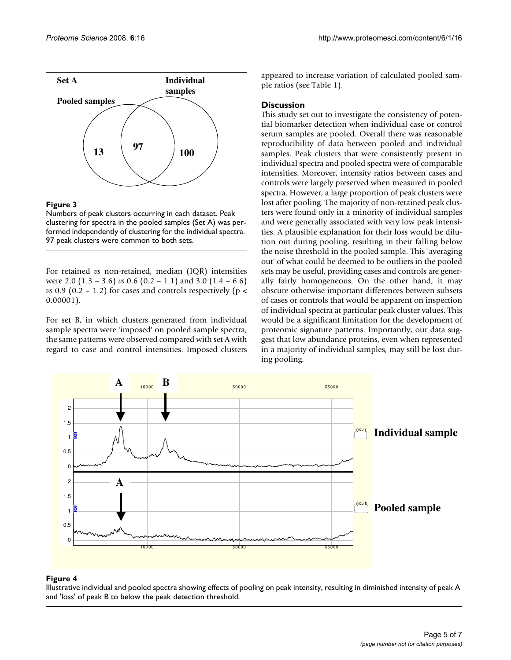

#### Figure 3

Numbers of peak clusters occurring in each dataset. Peak clustering for spectra in the pooled samples (Set A) was performed independently of clustering for the individual spectra. 97 peak clusters were common to both sets.

For retained *vs* non-retained, median (IQR) intensities were 2.0 (1.3 – 3.6) *vs* 0.6 (0.2 – 1.1) and 3.0 (1.4 – 6.6) *vs* 0.9 (0.2 – 1.2) for cases and controls respectively ( $p <$ 0.00001).

For set B, in which clusters generated from individual sample spectra were 'imposed' on pooled sample spectra, the same patterns were observed compared with set A with regard to case and control intensities. Imposed clusters appeared to increase variation of calculated pooled sample ratios (see Table 1).

#### **Discussion**

This study set out to investigate the consistency of potential biomarker detection when individual case or control serum samples are pooled. Overall there was reasonable reproducibility of data between pooled and individual samples. Peak clusters that were consistently present in individual spectra and pooled spectra were of comparable intensities. Moreover, intensity ratios between cases and controls were largely preserved when measured in pooled spectra. However, a large proportion of peak clusters were lost after pooling. The majority of non-retained peak clusters were found only in a minority of individual samples and were generally associated with very low peak intensities. A plausible explanation for their loss would be dilution out during pooling, resulting in their falling below the noise threshold in the pooled sample. This 'averaging out' of what could be deemed to be outliers in the pooled sets may be useful, providing cases and controls are generally fairly homogeneous. On the other hand, it may obscure otherwise important differences between subsets of cases or controls that would be apparent on inspection of individual spectra at particular peak cluster values. This would be a significant limitation for the development of proteomic signature patterns. Importantly, our data suggest that low abundance proteins, even when represented in a majority of individual samples, may still be lost during pooling.



Illustrative individual and pooled and 'loss' of peak B to belo **Figure 4** w the peak detection threshold spectra showing effects of pooling on peak intensity, resulting in diminished intensity of peak A Illustrative individual and pooled spectra showing effects of pooling on peak intensity, resulting in diminished intensity of peak A and 'loss' of peak B to below the peak detection threshold.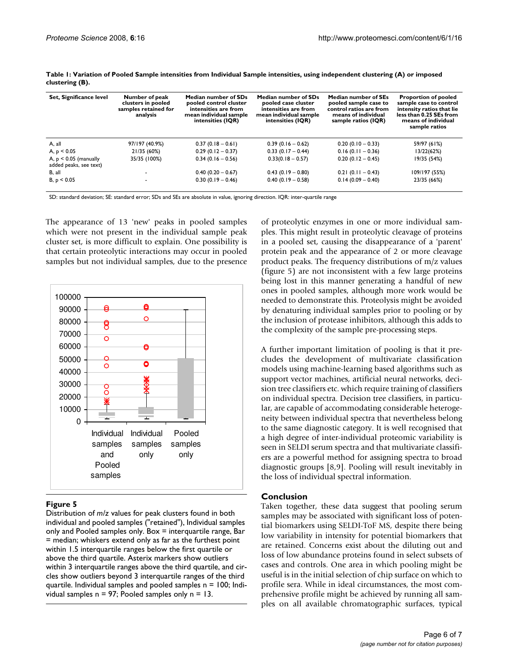| Set, Significance level                           | Number of peak<br>clusters in pooled<br>samples retained for<br>analysis | Median number of SDs<br>pooled control cluster<br>intensities are from<br>mean individual sample<br>intensities (IQR) | Median number of SDs<br>pooled case cluster<br>intensities are from<br>mean individual sample<br>intensities (IQR) | Median number of SEs<br>pooled sample case to<br>control ratios are from<br>means of individual<br>sample ratios (IQR) | <b>Proportion of pooled</b><br>sample case to control<br>intensity ratios that lie<br>less than 0.25 SEs from<br>means of individual<br>sample ratios |
|---------------------------------------------------|--------------------------------------------------------------------------|-----------------------------------------------------------------------------------------------------------------------|--------------------------------------------------------------------------------------------------------------------|------------------------------------------------------------------------------------------------------------------------|-------------------------------------------------------------------------------------------------------------------------------------------------------|
| A, all                                            | 97/197 (40.9%)                                                           | $0.37(0.18-0.61)$                                                                                                     | $0.39(0.16 - 0.62)$                                                                                                | $0.20(0.10-0.33)$                                                                                                      | 59/97 (61%)                                                                                                                                           |
| A, $p < 0.05$                                     | 21/35 (60%)                                                              | $0.29(0.12 - 0.37)$                                                                                                   | $0.33(0.17 - 0.44)$                                                                                                | $0.16(0.11 - 0.36)$                                                                                                    | 13/22(62%)                                                                                                                                            |
| A, $p < 0.05$ (manually<br>added peaks, see text) | 35/35 (100%)                                                             | $0.34(0.16 - 0.56)$                                                                                                   | $0.33(0.18 - 0.57)$                                                                                                | $0.20(0.12 - 0.45)$                                                                                                    | 19/35 (54%)                                                                                                                                           |
| B, all                                            |                                                                          | $0.40(0.20 - 0.67)$                                                                                                   | $0.43(0.19 - 0.80)$                                                                                                | $0.21(0.11 - 0.43)$                                                                                                    | 109/197 (55%)                                                                                                                                         |
| B, p < 0.05                                       |                                                                          | $0.30(0.19 - 0.46)$                                                                                                   | $0.40(0.19 - 0.58)$                                                                                                | $0.14(0.09 - 0.40)$                                                                                                    | 23/35 (66%)                                                                                                                                           |

**Table 1: Variation of Pooled Sample intensities from Individual Sample intensities, using independent clustering (A) or imposed clustering (B).** 

SD: standard deviation; SE: standard error; SDs and SEs are absolute in value, ignoring direction. IQR: inter-quartile range

The appearance of 13 'new' peaks in pooled samples which were not present in the individual sample peak cluster set, is more difficult to explain. One possibility is that certain proteolytic interactions may occur in pooled samples but not individual samples, due to the presence



#### Figure 5

Distribution of *m/z* values for peak clusters found in both individual and pooled samples ("retained"), Individual samples only and Pooled samples only. Box = interquartile range, Bar = median; whiskers extend only as far as the furthest point within 1.5 interquartile ranges below the first quartile or above the third quartile. Asterix markers show outliers within 3 interquartile ranges above the third quartile, and circles show outliers beyond 3 interquartile ranges of the third quartile. Individual samples and pooled samples  $n = 100$ ; Individual samples  $n = 97$ ; Pooled samples only  $n = 13$ .

of proteolytic enzymes in one or more individual samples. This might result in proteolytic cleavage of proteins in a pooled set, causing the disappearance of a 'parent' protein peak and the appearance of 2 or more cleavage product peaks. The frequency distributions of m/z values (figure 5) are not inconsistent with a few large proteins being lost in this manner generating a handful of new ones in pooled samples, although more work would be needed to demonstrate this. Proteolysis might be avoided by denaturing individual samples prior to pooling or by the inclusion of protease inhibitors, although this adds to the complexity of the sample pre-processing steps.

A further important limitation of pooling is that it precludes the development of multivariate classification models using machine-learning based algorithms such as support vector machines, artificial neural networks, decision tree classifiers etc. which require training of classifiers on individual spectra. Decision tree classifiers, in particular, are capable of accommodating considerable heterogeneity between individual spectra that nevertheless belong to the same diagnostic category. It is well recognised that a high degree of inter-individual proteomic variability is seen in SELDI serum spectra and that multivariate classifiers are a powerful method for assigning spectra to broad diagnostic groups [8,9]. Pooling will result inevitably in the loss of individual spectral information.

#### **Conclusion**

Taken together, these data suggest that pooling serum samples may be associated with significant loss of potential biomarkers using SELDI-ToF MS, despite there being low variability in intensity for potential biomarkers that are retained. Concerns exist about the diluting out and loss of low abundance proteins found in select subsets of cases and controls. One area in which pooling might be useful is in the initial selection of chip surface on which to profile sera. While in ideal circumstances, the most comprehensive profile might be achieved by running all samples on all available chromatographic surfaces, typical